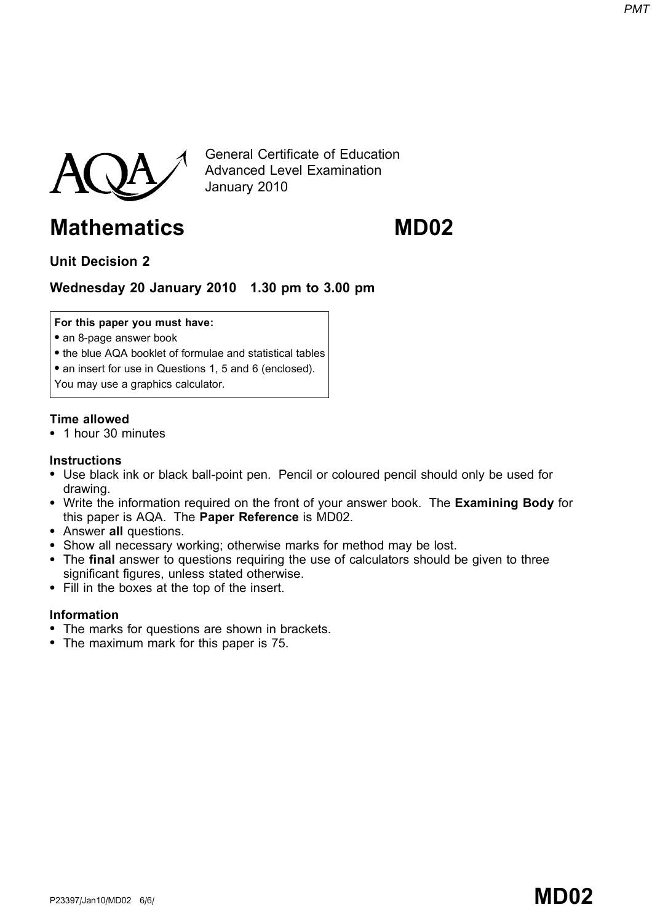

General Certificate of Education Advanced Level Examination January 2010

# Mathematics MD02

Unit Decision 2

## Wednesday 20 January 2010 1.30 pm to 3.00 pm

For this paper you must have:

- an 8-page answer book
- the blue AQA booklet of formulae and statistical tables
- an insert for use in Questions 1, 5 and 6 (enclosed).

You may use a graphics calculator.

### Time allowed

\* 1 hour 30 minutes

#### **Instructions**

- \* Use black ink or black ball-point pen. Pencil or coloured pencil should only be used for drawing.
- Write the information required on the front of your answer book. The Examining Body for this paper is AQA. The Paper Reference is MD02.
- Answer all questions.
- Show all necessary working; otherwise marks for method may be lost.
- The final answer to questions requiring the use of calculators should be given to three significant figures, unless stated otherwise.
- \* Fill in the boxes at the top of the insert.

#### Information

- The marks for questions are shown in brackets.
- The maximum mark for this paper is 75.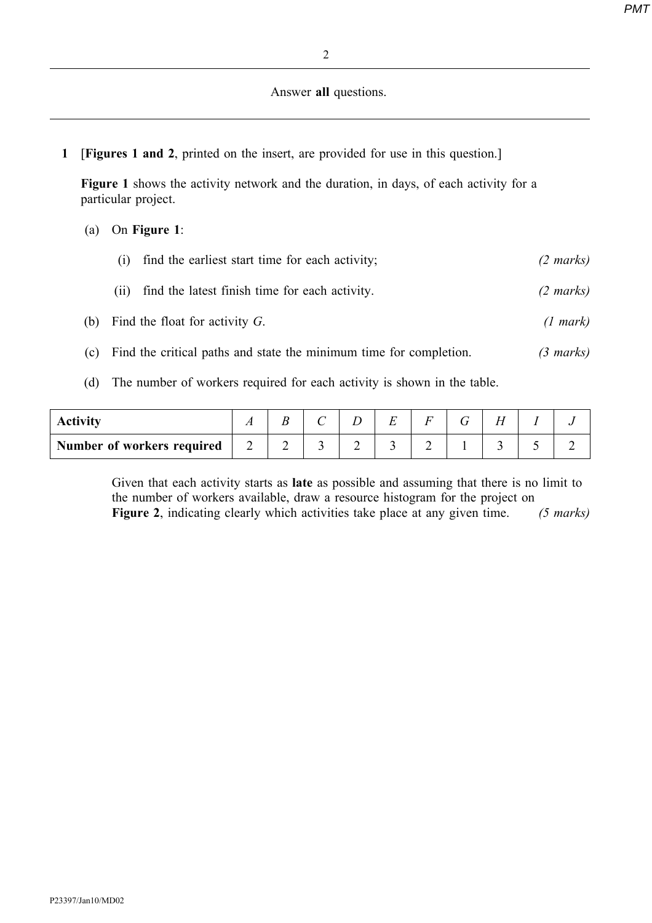#### Answer all questions.

1 [Figures 1 and 2, printed on the insert, are provided for use in this question.]

Figure 1 shows the activity network and the duration, in days, of each activity for a particular project.

#### (a) On Figure 1:

|     | find the earliest start time for each activity;<br>(1)                  | $(2 \text{ marks})$ |
|-----|-------------------------------------------------------------------------|---------------------|
|     | find the latest finish time for each activity.<br>(11)                  | $(2 \text{ marks})$ |
| (b) | Find the float for activity $G$ .                                       | (1 mark)            |
| (c) | Find the critical paths and state the minimum time for completion.      | $(3 \text{ marks})$ |
| (d) | The number of workers required for each activity is shown in the table. |                     |

| <b>Activity</b>            | $\overline{ }$ |  | г<br><u>. </u> |  |  |  |
|----------------------------|----------------|--|----------------|--|--|--|
| Number of workers required | ∽              |  |                |  |  |  |

Given that each activity starts as late as possible and assuming that there is no limit to the number of workers available, draw a resource histogram for the project on Figure 2, indicating clearly which activities take place at any given time. (5 marks)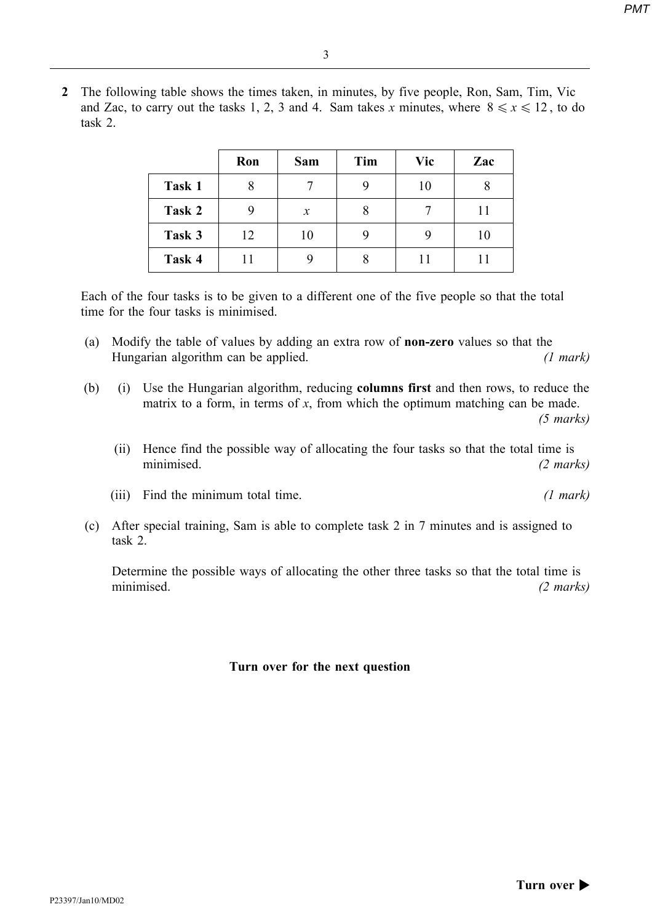2 The following table shows the times taken, in minutes, by five people, Ron, Sam, Tim, Vic and Zac, to carry out the tasks 1, 2, 3 and 4. Sam takes x minutes, where  $8 \le x \le 12$ , to do task 2.

|        | Ron | Sam    | Tim | Vic | Zac |
|--------|-----|--------|-----|-----|-----|
| Task 1 |     |        |     | 10  |     |
| Task 2 |     | $\chi$ |     |     | 11  |
| Task 3 | 12  | 10     |     |     | 10  |
| Task 4 | 11  |        |     |     |     |

Each of the four tasks is to be given to a different one of the five people so that the total time for the four tasks is minimised.

- (a) Modify the table of values by adding an extra row of non-zero values so that the Hungarian algorithm can be applied. (1 mark)
- (b) (i) Use the Hungarian algorithm, reducing columns first and then rows, to reduce the matrix to a form, in terms of  $x$ , from which the optimum matching can be made. (5 marks)
	- (ii) Hence find the possible way of allocating the four tasks so that the total time is minimised. (2 marks)
	- (iii) Find the minimum total time. (1 mark)
- (c) After special training, Sam is able to complete task 2 in 7 minutes and is assigned to task 2.

Determine the possible ways of allocating the other three tasks so that the total time is minimised. (2 marks)

#### Turn over for the next question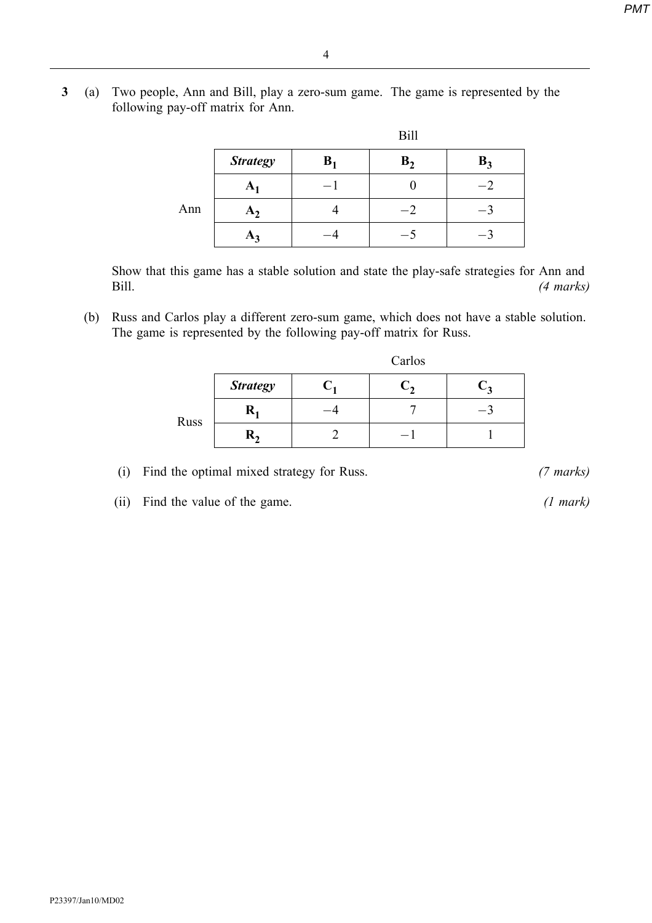3 (a) Two people, Ann and Bill, play a zero-sum game. The game is represented by the following pay-off matrix for Ann.

|     |                 |                | <b>Bill</b>    |       |
|-----|-----------------|----------------|----------------|-------|
|     | <b>Strategy</b> | B <sub>1</sub> | B <sub>2</sub> | $B_3$ |
|     | $\mathbf{A}_1$  |                |                |       |
| Ann | A <sub>1</sub>  |                | $^{-2}$        |       |
|     | $\mathbf{A}_2$  |                |                |       |

Show that this game has a stable solution and state the play-safe strategies for Ann and Bill. (4 marks)

(b) Russ and Carlos play a different zero-sum game, which does not have a stable solution. The game is represented by the following pay-off matrix for Russ.

|      |                  | Carlos |  |  |  |  |  |  |  |
|------|------------------|--------|--|--|--|--|--|--|--|
|      | <b>Strategy</b>  |        |  |  |  |  |  |  |  |
| Russ | $\mathbf{R}_1$   |        |  |  |  |  |  |  |  |
|      | $\mathbf{R}_{2}$ |        |  |  |  |  |  |  |  |

- (i) Find the optimal mixed strategy for Russ. (7 marks)
- (ii) Find the value of the game. (1 mark)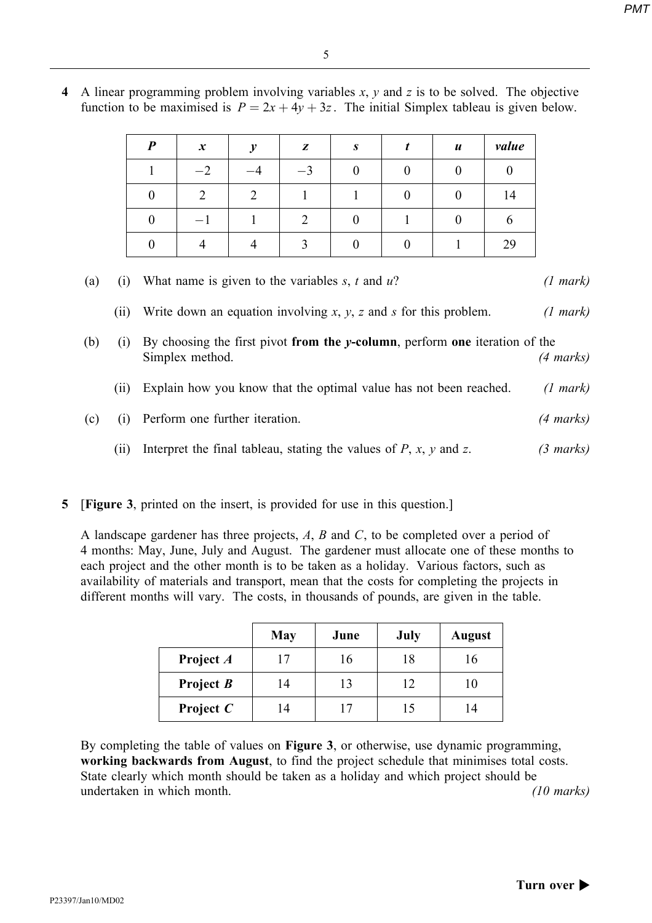|     |                                       | $\theta$       | $\overline{2}$                                                                                                 | $\overline{2}$                                                               |                |          | $\overline{0}$ | $\theta$  | 14 |           |  |
|-----|---------------------------------------|----------------|----------------------------------------------------------------------------------------------------------------|------------------------------------------------------------------------------|----------------|----------|----------------|-----------|----|-----------|--|
|     |                                       | $\overline{0}$ | $-1$                                                                                                           | 1                                                                            | $\overline{2}$ | $\theta$ | 1              | $\theta$  | 6  |           |  |
|     |                                       | $\theta$       | 4                                                                                                              | 4                                                                            | 3              | $\theta$ | $\theta$       | 1         | 29 |           |  |
| (a) | (i)                                   |                | What name is given to the variables $s, t$ and $u$ ?<br>(1 mark)                                               |                                                                              |                |          |                |           |    |           |  |
|     | (ii)                                  |                | Write down an equation involving $x$ , $y$ , $z$ and $s$ for this problem.<br>(1 mark)                         |                                                                              |                |          |                |           |    |           |  |
| (b) | (i)                                   |                | By choosing the first pivot from the $y$ -column, perform one iteration of the<br>Simplex method.<br>(4 marks) |                                                                              |                |          |                |           |    |           |  |
|     | (ii)                                  |                | Explain how you know that the optimal value has not been reached.<br>(1 mark)                                  |                                                                              |                |          |                |           |    |           |  |
| (c) | Perform one further iteration.<br>(i) |                |                                                                                                                |                                                                              |                |          |                | (4 marks) |    |           |  |
|     | (i)                                   |                |                                                                                                                | Interpret the final tableau, stating the values of $P$ , $x$ , $y$ and $z$ . |                |          |                |           |    | (3 marks) |  |

4 A linear programming problem involving variables  $x$ ,  $y$  and  $z$  is to be solved. The objective function to be maximised is  $P = 2x + 4y + 3z$ . The initial Simplex tableau is given below.

Pxy <sup>z</sup> s t u value

 $1 \quad -2 \quad -4 \quad -3 \quad 0 \quad 0 \quad 0 \quad 0$ 

#### 5 [Figure 3, printed on the insert, is provided for use in this question.]

A landscape gardener has three projects, A, B and C, to be completed over a period of 4 months: May, June, July and August. The gardener must allocate one of these months to each project and the other month is to be taken as a holiday. Various factors, such as availability of materials and transport, mean that the costs for completing the projects in different months will vary. The costs, in thousands of pounds, are given in the table.

|             | <b>May</b> | June | July | <b>August</b>  |
|-------------|------------|------|------|----------------|
| Project A   |            | 16   | 18   | 16             |
| Project $B$ | ۱4         | 13   | 12   | 10             |
| Project $C$ |            |      | 15   | $\overline{4}$ |

By completing the table of values on Figure 3, or otherwise, use dynamic programming, working backwards from August, to find the project schedule that minimises total costs. State clearly which month should be taken as a holiday and which project should be undertaken in which month. (10 marks) (10 marks)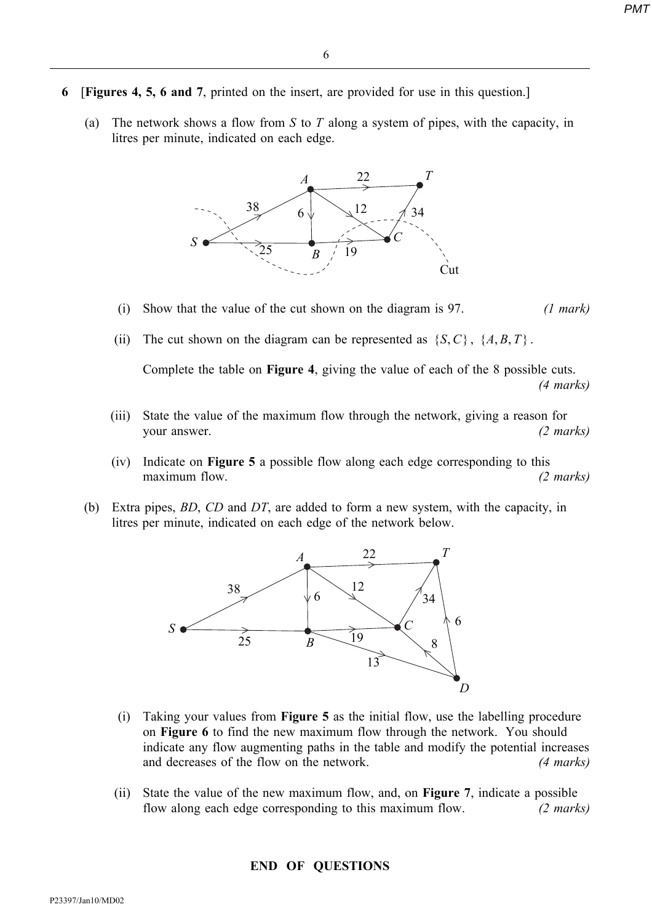- 6 [Figures 4, 5, 6 and 7, printed on the insert, are provided for use in this question.]
	- (a) The network shows a flow from S to T along a system of pipes, with the capacity, in litres per minute, indicated on each edge.



- (i) Show that the value of the cut shown on the diagram is 97.  $(1 mark)$
- (ii) The cut shown on the diagram can be represented as  $\{S, C\}$ ,  $\{A, B, T\}$ .

Complete the table on Figure 4, giving the value of each of the 8 possible cuts.

(4 marks)

- (iii) State the value of the maximum flow through the network, giving a reason for your answer. (2 marks)
- (iv) Indicate on Figure 5 a possible flow along each edge corresponding to this maximum flow. (2 marks)
- (b) Extra pipes, BD, CD and DT, are added to form a new system, with the capacity, in litres per minute, indicated on each edge of the network below.



- (i) Taking your values from Figure 5 as the initial flow, use the labelling procedure on Figure 6 to find the new maximum flow through the network. You should indicate any flow augmenting paths in the table and modify the potential increases and decreases of the flow on the network. (4 marks)
- (ii) State the value of the new maximum flow, and, on Figure 7, indicate a possible flow along each edge corresponding to this maximum flow. (2 marks)

#### END OF QUESTIONS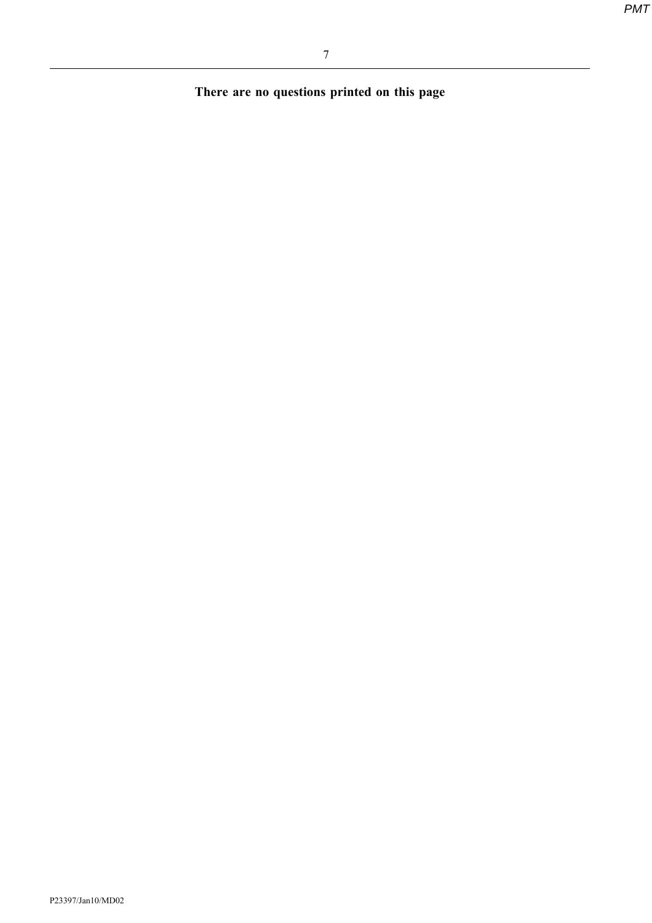There are no questions printed on this page